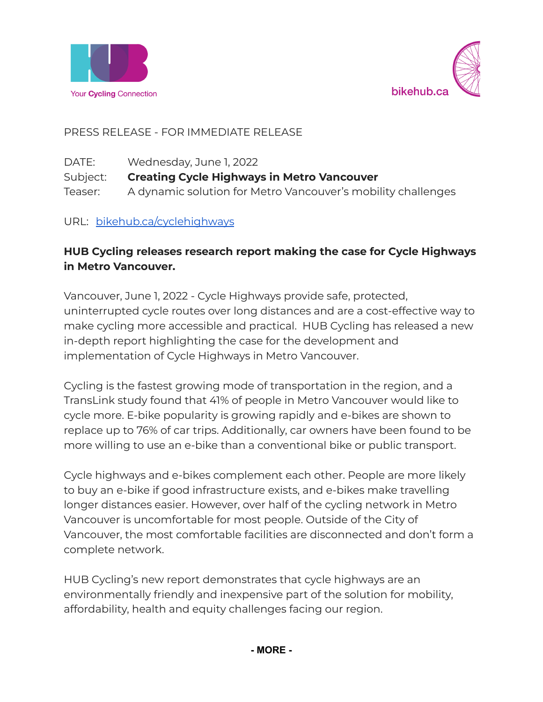



PRESS RELEASE - FOR IMMEDIATE RELEASE

| DATE:    | Wednesday, June 1, 2022                                      |
|----------|--------------------------------------------------------------|
| Subject: | <b>Creating Cycle Highways in Metro Vancouver</b>            |
| Teaser:  | A dynamic solution for Metro Vancouver's mobility challenges |

URL: [bikehub.ca/cyclehighways](http://bikehub.ca/cyclehighways)

# **HUB Cycling releases research report making the case for Cycle Highways in Metro Vancouver.**

Vancouver, June 1, 2022 - Cycle Highways provide safe, protected, uninterrupted cycle routes over long distances and are a cost-effective way to make cycling more accessible and practical. HUB Cycling has released a new in-depth report highlighting the case for the development and implementation of Cycle Highways in Metro Vancouver.

Cycling is the fastest growing mode of transportation in the region, and a TransLink study found that 41% of people in Metro Vancouver would like to cycle more. E-bike popularity is growing rapidly and e-bikes are shown to replace up to 76% of car trips. Additionally, car owners have been found to be more willing to use an e-bike than a conventional bike or public transport.

Cycle highways and e-bikes complement each other. People are more likely to buy an e-bike if good infrastructure exists, and e-bikes make travelling longer distances easier. However, over half of the cycling network in Metro Vancouver is uncomfortable for most people. Outside of the City of Vancouver, the most comfortable facilities are disconnected and don't form a complete network.

HUB Cycling's new report demonstrates that cycle highways are an environmentally friendly and inexpensive part of the solution for mobility, affordability, health and equity challenges facing our region.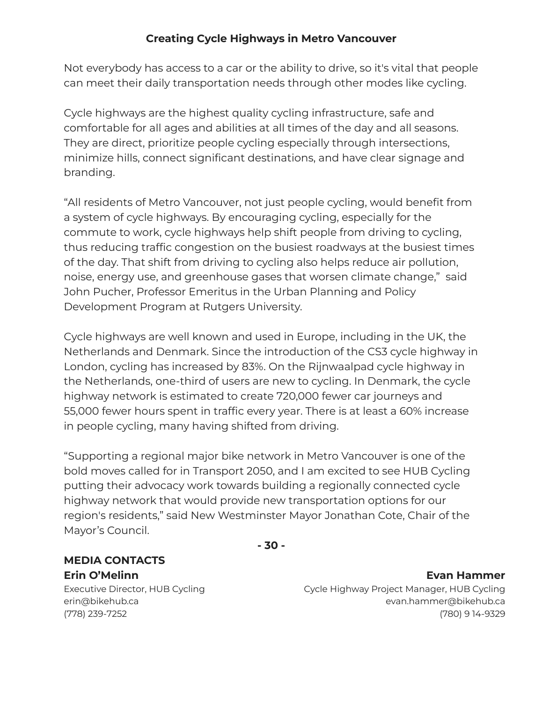## **Creating Cycle Highways in Metro Vancouver**

Not everybody has access to a car or the ability to drive, so it's vital that people can meet their daily transportation needs through other modes like cycling.

Cycle highways are the highest quality cycling infrastructure, safe and comfortable for all ages and abilities at all times of the day and all seasons. They are direct, prioritize people cycling especially through intersections, minimize hills, connect significant destinations, and have clear signage and branding.

"All residents of Metro Vancouver, not just people cycling, would benefit from a system of cycle highways. By encouraging cycling, especially for the commute to work, cycle highways help shift people from driving to cycling, thus reducing traffic congestion on the busiest roadways at the busiest times of the day. That shift from driving to cycling also helps reduce air pollution, noise, energy use, and greenhouse gases that worsen climate change," said John Pucher, Professor Emeritus in the Urban Planning and Policy Development Program at Rutgers University.

Cycle highways are well known and used in Europe, including in the UK, the Netherlands and Denmark. Since the introduction of the CS3 cycle highway in London, cycling has increased by 83%. On the Rijnwaalpad cycle highway in the Netherlands, one-third of users are new to cycling. In Denmark, the cycle highway network is estimated to create 720,000 fewer car journeys and 55,000 fewer hours spent in traffic every year. There is at least a 60% increase in people cycling, many having shifted from driving.

"Supporting a regional major bike network in Metro Vancouver is one of the bold moves called for in Transport 2050, and I am excited to see HUB Cycling putting their advocacy work towards building a regionally connected cycle highway network that would provide new transportation options for our region's residents," said New Westminster Mayor Jonathan Cote, Chair of the Mayor's Council.

**- 30 -**

## **MEDIA CONTACTS Erin O'Melinn**

Executive Director, HUB Cycling erin@bikehub.ca (778) 239-7252

**Evan Hammer** Cycle Highway Project Manager, HUB Cycling evan.hammer@bikehub.ca (780) 9 14-9329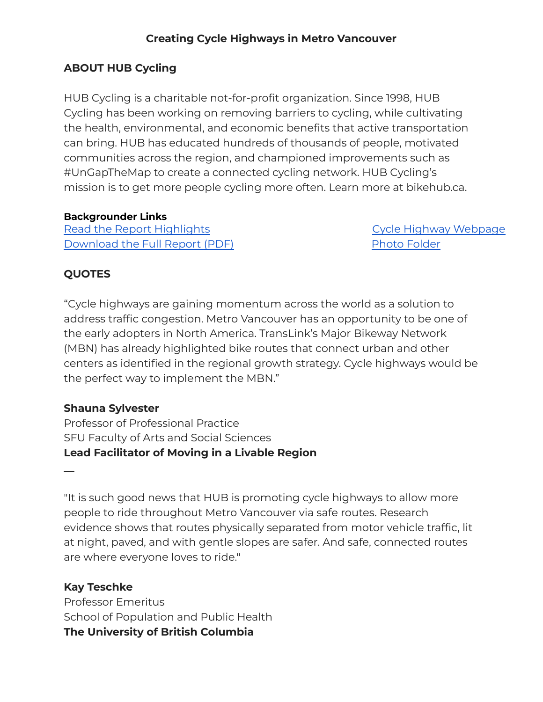## **Creating Cycle Highways in Metro Vancouver**

## **ABOUT HUB Cycling**

HUB Cycling is a charitable not-for-profit organization. Since 1998, HUB Cycling has been working on removing barriers to cycling, while cultivating the health, environmental, and economic benefits that active transportation can bring. HUB has educated hundreds of thousands of people, motivated communities across the region, and championed improvements such as #UnGapTheMap to create a connected cycling network. HUB Cycling's mission is to get more people cycling more often. Learn more at bikehub.ca.

#### **Backgrounder Links**

Read the Report [Highlights](https://hub-intellectsolutio.netdna-ssl.com/sites/default/files/cycle_hub_4pp_rgb_pdf.pdf) [Download](https://hub-intellectsolutio.netdna-ssl.com/sites/default/files/22_cycling_highways_report_with_appendix_-_may_13_2022.pdf) the Full Report (PDF)

Cycle Highway [Webpage](https://bikehub.ca/research/making-the-case-for-cycle-highways-in-metro-vancouver) Photo [Folder](https://drive.google.com/drive/folders/1Ef6WaWRGp7L5W6Uq06bAunfJlVyqZgsM?usp=sharing)

## **QUOTES**

"Cycle highways are gaining momentum across the world as a solution to address traffic congestion. Metro Vancouver has an opportunity to be one of the early adopters in North America. TransLink's Major Bikeway Network (MBN) has already highlighted bike routes that connect urban and other centers as identified in the regional growth strategy. Cycle highways would be the perfect way to implement the MBN."

## **Shauna Sylvester**

Professor of Professional Practice SFU Faculty of Arts and Social Sciences **Lead Facilitator of Moving in a Livable Region**

 $\overline{\phantom{a}}$ 

"It is such good news that HUB is promoting cycle highways to allow more people to ride throughout Metro Vancouver via safe routes. Research evidence shows that routes physically separated from motor vehicle traffic, lit at night, paved, and with gentle slopes are safer. And safe, connected routes are where everyone loves to ride."

## **Kay Teschke**

Professor Emeritus School of Population and Public Health **The University of British Columbia**